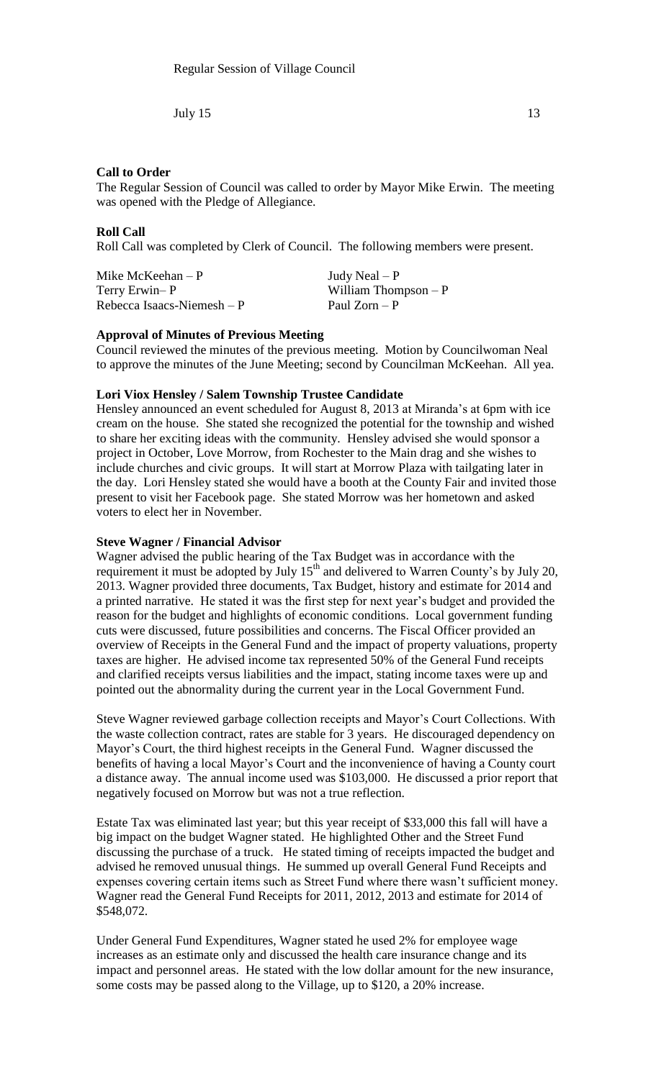## **Call to Order**

The Regular Session of Council was called to order by Mayor Mike Erwin. The meeting was opened with the Pledge of Allegiance.

### **Roll Call**

Roll Call was completed by Clerk of Council. The following members were present.

Mike McKeehan – P  $Judy$  Neal – P Terry Erwin– P William Thompson – P  $Rebecca Isaacs-Niemesh - P$  Paul Zorn – P

### **Approval of Minutes of Previous Meeting**

Council reviewed the minutes of the previous meeting. Motion by Councilwoman Neal to approve the minutes of the June Meeting; second by Councilman McKeehan. All yea.

### **Lori Viox Hensley / Salem Township Trustee Candidate**

Hensley announced an event scheduled for August 8, 2013 at Miranda's at 6pm with ice cream on the house. She stated she recognized the potential for the township and wished to share her exciting ideas with the community. Hensley advised she would sponsor a project in October, Love Morrow, from Rochester to the Main drag and she wishes to include churches and civic groups. It will start at Morrow Plaza with tailgating later in the day. Lori Hensley stated she would have a booth at the County Fair and invited those present to visit her Facebook page. She stated Morrow was her hometown and asked voters to elect her in November.

### **Steve Wagner / Financial Advisor**

Wagner advised the public hearing of the Tax Budget was in accordance with the requirement it must be adopted by July  $15<sup>th</sup>$  and delivered to Warren County's by July 20, 2013. Wagner provided three documents, Tax Budget, history and estimate for 2014 and a printed narrative. He stated it was the first step for next year's budget and provided the reason for the budget and highlights of economic conditions. Local government funding cuts were discussed, future possibilities and concerns. The Fiscal Officer provided an overview of Receipts in the General Fund and the impact of property valuations, property taxes are higher. He advised income tax represented 50% of the General Fund receipts and clarified receipts versus liabilities and the impact, stating income taxes were up and pointed out the abnormality during the current year in the Local Government Fund.

Steve Wagner reviewed garbage collection receipts and Mayor's Court Collections. With the waste collection contract, rates are stable for 3 years. He discouraged dependency on Mayor's Court, the third highest receipts in the General Fund. Wagner discussed the benefits of having a local Mayor's Court and the inconvenience of having a County court a distance away. The annual income used was \$103,000. He discussed a prior report that negatively focused on Morrow but was not a true reflection.

Estate Tax was eliminated last year; but this year receipt of \$33,000 this fall will have a big impact on the budget Wagner stated. He highlighted Other and the Street Fund discussing the purchase of a truck. He stated timing of receipts impacted the budget and advised he removed unusual things. He summed up overall General Fund Receipts and expenses covering certain items such as Street Fund where there wasn't sufficient money. Wagner read the General Fund Receipts for 2011, 2012, 2013 and estimate for 2014 of \$548,072.

Under General Fund Expenditures, Wagner stated he used 2% for employee wage increases as an estimate only and discussed the health care insurance change and its impact and personnel areas. He stated with the low dollar amount for the new insurance, some costs may be passed along to the Village, up to \$120, a 20% increase.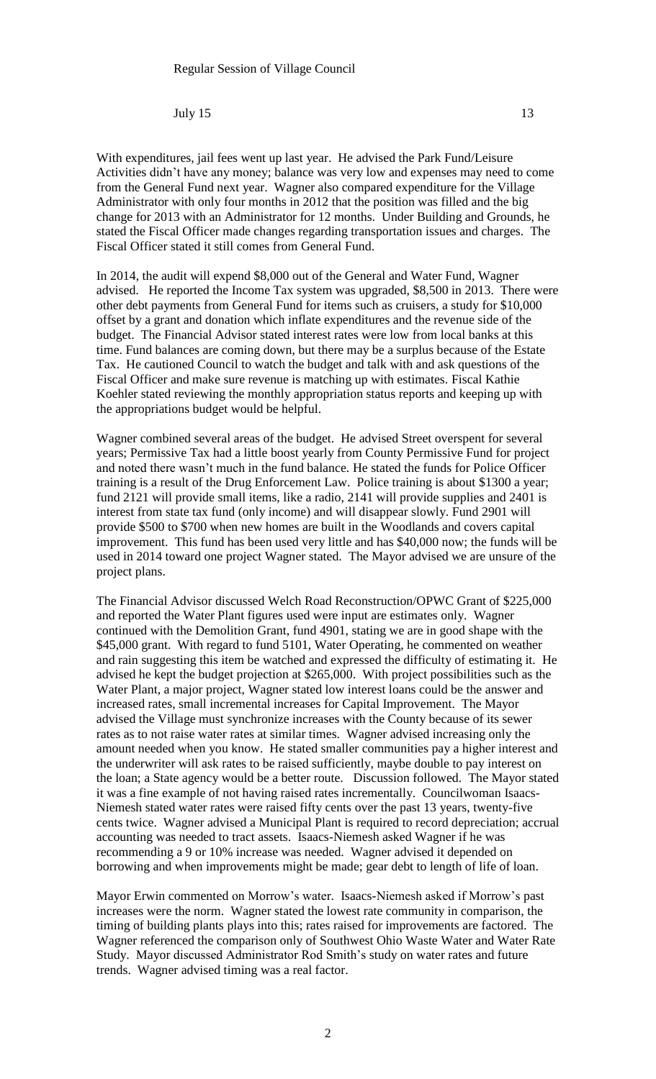With expenditures, jail fees went up last year. He advised the Park Fund/Leisure Activities didn't have any money; balance was very low and expenses may need to come from the General Fund next year. Wagner also compared expenditure for the Village Administrator with only four months in 2012 that the position was filled and the big change for 2013 with an Administrator for 12 months. Under Building and Grounds, he stated the Fiscal Officer made changes regarding transportation issues and charges. The Fiscal Officer stated it still comes from General Fund.

In 2014, the audit will expend \$8,000 out of the General and Water Fund, Wagner advised. He reported the Income Tax system was upgraded, \$8,500 in 2013. There were other debt payments from General Fund for items such as cruisers, a study for \$10,000 offset by a grant and donation which inflate expenditures and the revenue side of the budget. The Financial Advisor stated interest rates were low from local banks at this time. Fund balances are coming down, but there may be a surplus because of the Estate Tax. He cautioned Council to watch the budget and talk with and ask questions of the Fiscal Officer and make sure revenue is matching up with estimates. Fiscal Kathie Koehler stated reviewing the monthly appropriation status reports and keeping up with the appropriations budget would be helpful.

Wagner combined several areas of the budget. He advised Street overspent for several years; Permissive Tax had a little boost yearly from County Permissive Fund for project and noted there wasn't much in the fund balance. He stated the funds for Police Officer training is a result of the Drug Enforcement Law. Police training is about \$1300 a year; fund 2121 will provide small items, like a radio, 2141 will provide supplies and 2401 is interest from state tax fund (only income) and will disappear slowly. Fund 2901 will provide \$500 to \$700 when new homes are built in the Woodlands and covers capital improvement. This fund has been used very little and has \$40,000 now; the funds will be used in 2014 toward one project Wagner stated. The Mayor advised we are unsure of the project plans.

The Financial Advisor discussed Welch Road Reconstruction/OPWC Grant of \$225,000 and reported the Water Plant figures used were input are estimates only. Wagner continued with the Demolition Grant, fund 4901, stating we are in good shape with the \$45,000 grant. With regard to fund 5101, Water Operating, he commented on weather and rain suggesting this item be watched and expressed the difficulty of estimating it. He advised he kept the budget projection at \$265,000. With project possibilities such as the Water Plant, a major project, Wagner stated low interest loans could be the answer and increased rates, small incremental increases for Capital Improvement. The Mayor advised the Village must synchronize increases with the County because of its sewer rates as to not raise water rates at similar times. Wagner advised increasing only the amount needed when you know. He stated smaller communities pay a higher interest and the underwriter will ask rates to be raised sufficiently, maybe double to pay interest on the loan; a State agency would be a better route. Discussion followed. The Mayor stated it was a fine example of not having raised rates incrementally. Councilwoman Isaacs-Niemesh stated water rates were raised fifty cents over the past 13 years, twenty-five cents twice. Wagner advised a Municipal Plant is required to record depreciation; accrual accounting was needed to tract assets. Isaacs-Niemesh asked Wagner if he was recommending a 9 or 10% increase was needed. Wagner advised it depended on borrowing and when improvements might be made; gear debt to length of life of loan.

Mayor Erwin commented on Morrow's water. Isaacs-Niemesh asked if Morrow's past increases were the norm. Wagner stated the lowest rate community in comparison, the timing of building plants plays into this; rates raised for improvements are factored. The Wagner referenced the comparison only of Southwest Ohio Waste Water and Water Rate Study. Mayor discussed Administrator Rod Smith's study on water rates and future trends. Wagner advised timing was a real factor.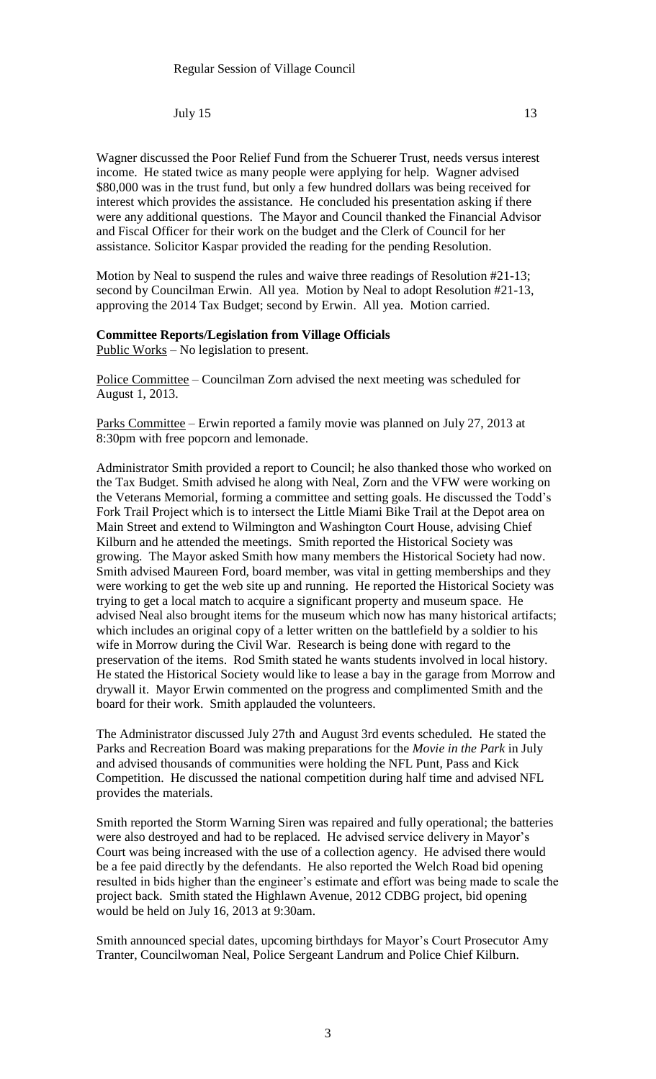Wagner discussed the Poor Relief Fund from the Schuerer Trust, needs versus interest income. He stated twice as many people were applying for help. Wagner advised \$80,000 was in the trust fund, but only a few hundred dollars was being received for interest which provides the assistance. He concluded his presentation asking if there were any additional questions. The Mayor and Council thanked the Financial Advisor and Fiscal Officer for their work on the budget and the Clerk of Council for her assistance. Solicitor Kaspar provided the reading for the pending Resolution.

Motion by Neal to suspend the rules and waive three readings of Resolution #21-13; second by Councilman Erwin. All yea. Motion by Neal to adopt Resolution #21-13, approving the 2014 Tax Budget; second by Erwin. All yea. Motion carried.

# **Committee Reports/Legislation from Village Officials**

Public Works – No legislation to present.

Police Committee – Councilman Zorn advised the next meeting was scheduled for August 1, 2013.

Parks Committee – Erwin reported a family movie was planned on July 27, 2013 at 8:30pm with free popcorn and lemonade.

Administrator Smith provided a report to Council; he also thanked those who worked on the Tax Budget. Smith advised he along with Neal, Zorn and the VFW were working on the Veterans Memorial, forming a committee and setting goals. He discussed the Todd's Fork Trail Project which is to intersect the Little Miami Bike Trail at the Depot area on Main Street and extend to Wilmington and Washington Court House, advising Chief Kilburn and he attended the meetings. Smith reported the Historical Society was growing. The Mayor asked Smith how many members the Historical Society had now. Smith advised Maureen Ford, board member, was vital in getting memberships and they were working to get the web site up and running. He reported the Historical Society was trying to get a local match to acquire a significant property and museum space. He advised Neal also brought items for the museum which now has many historical artifacts; which includes an original copy of a letter written on the battlefield by a soldier to his wife in Morrow during the Civil War. Research is being done with regard to the preservation of the items. Rod Smith stated he wants students involved in local history. He stated the Historical Society would like to lease a bay in the garage from Morrow and drywall it. Mayor Erwin commented on the progress and complimented Smith and the board for their work. Smith applauded the volunteers.

The Administrator discussed July 27th and August 3rd events scheduled. He stated the Parks and Recreation Board was making preparations for the *Movie in the Park* in July and advised thousands of communities were holding the NFL Punt, Pass and Kick Competition. He discussed the national competition during half time and advised NFL provides the materials.

Smith reported the Storm Warning Siren was repaired and fully operational; the batteries were also destroyed and had to be replaced. He advised service delivery in Mayor's Court was being increased with the use of a collection agency. He advised there would be a fee paid directly by the defendants. He also reported the Welch Road bid opening resulted in bids higher than the engineer's estimate and effort was being made to scale the project back. Smith stated the Highlawn Avenue, 2012 CDBG project, bid opening would be held on July 16, 2013 at 9:30am.

Smith announced special dates, upcoming birthdays for Mayor's Court Prosecutor Amy Tranter, Councilwoman Neal, Police Sergeant Landrum and Police Chief Kilburn.